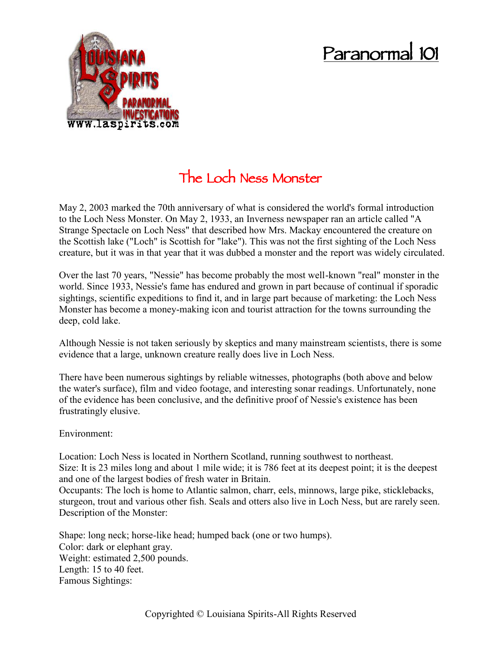## **Paranormal 101**



## **The Loch Ness Monster**

May 2, 2003 marked the 70th anniversary of what is considered the world's formal introduction to the Loch Ness Monster. On May 2, 1933, an Inverness newspaper ran an article called "A Strange Spectacle on Loch Ness" that described how Mrs. Mackay encountered the creature on the Scottish lake ("Loch" is Scottish for "lake"). This was not the first sighting of the Loch Ness creature, but it was in that year that it was dubbed a monster and the report was widely circulated.

Over the last 70 years, "Nessie" has become probably the most well-known "real" monster in the world. Since 1933, Nessie's fame has endured and grown in part because of continual if sporadic sightings, scientific expeditions to find it, and in large part because of marketing: the Loch Ness Monster has become a money-making icon and tourist attraction for the towns surrounding the deep, cold lake.

Although Nessie is not taken seriously by skeptics and many mainstream scientists, there is some evidence that a large, unknown creature really does live in Loch Ness.

There have been numerous sightings by reliable witnesses, photographs (both above and below the water's surface), film and video footage, and interesting sonar readings. Unfortunately, none of the evidence has been conclusive, and the definitive proof of Nessie's existence has been frustratingly elusive.

## Environment:

Location: Loch Ness is located in Northern Scotland, running southwest to northeast. Size: It is 23 miles long and about 1 mile wide; it is 786 feet at its deepest point; it is the deepest and one of the largest bodies of fresh water in Britain.

Occupants: The loch is home to Atlantic salmon, charr, eels, minnows, large pike, sticklebacks, sturgeon, trout and various other fish. Seals and otters also live in Loch Ness, but are rarely seen. Description of the Monster:

Shape: long neck; horse-like head; humped back (one or two humps). Color: dark or elephant gray. Weight: estimated 2,500 pounds. Length: 15 to 40 feet. Famous Sightings: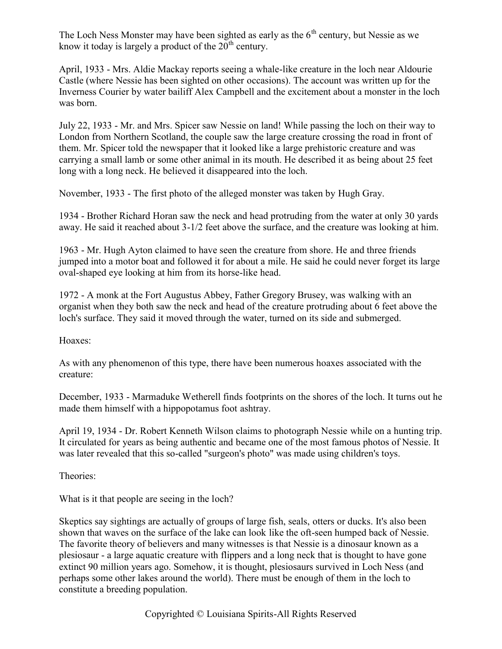The Loch Ness Monster may have been sighted as early as the  $6<sup>th</sup>$  century, but Nessie as we know it today is largely a product of the  $20^{th}$  century.

April, 1933 - Mrs. Aldie Mackay reports seeing a whale-like creature in the loch near Aldourie Castle (where Nessie has been sighted on other occasions). The account was written up for the Inverness Courier by water bailiff Alex Campbell and the excitement about a monster in the loch was born.

July 22, 1933 - Mr. and Mrs. Spicer saw Nessie on land! While passing the loch on their way to London from Northern Scotland, the couple saw the large creature crossing the road in front of them. Mr. Spicer told the newspaper that it looked like a large prehistoric creature and was carrying a small lamb or some other animal in its mouth. He described it as being about 25 feet long with a long neck. He believed it disappeared into the loch.

November, 1933 - The first photo of the alleged monster was taken by Hugh Gray.

1934 - Brother Richard Horan saw the neck and head protruding from the water at only 30 yards away. He said it reached about 3-1/2 feet above the surface, and the creature was looking at him.

1963 - Mr. Hugh Ayton claimed to have seen the creature from shore. He and three friends jumped into a motor boat and followed it for about a mile. He said he could never forget its large oval-shaped eye looking at him from its horse-like head.

1972 - A monk at the Fort Augustus Abbey, Father Gregory Brusey, was walking with an organist when they both saw the neck and head of the creature protruding about 6 feet above the loch's surface. They said it moved through the water, turned on its side and submerged.

Hoaxes:

As with any phenomenon of this type, there have been numerous hoaxes associated with the creature:

December, 1933 - Marmaduke Wetherell finds footprints on the shores of the loch. It turns out he made them himself with a hippopotamus foot ashtray.

April 19, 1934 - Dr. Robert Kenneth Wilson claims to photograph Nessie while on a hunting trip. It circulated for years as being authentic and became one of the most famous photos of Nessie. It was later revealed that this so-called "surgeon's photo" was made using children's toys.

Theories:

What is it that people are seeing in the loch?

Skeptics say sightings are actually of groups of large fish, seals, otters or ducks. It's also been shown that waves on the surface of the lake can look like the oft-seen humped back of Nessie. The favorite theory of believers and many witnesses is that Nessie is a dinosaur known as a plesiosaur - a large aquatic creature with flippers and a long neck that is thought to have gone extinct 90 million years ago. Somehow, it is thought, plesiosaurs survived in Loch Ness (and perhaps some other lakes around the world). There must be enough of them in the loch to constitute a breeding population.